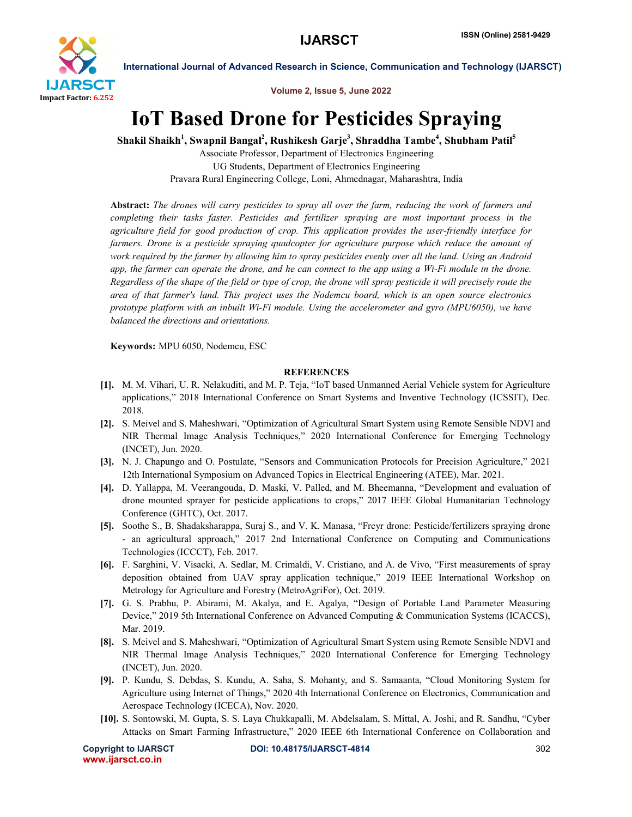

International Journal of Advanced Research in Science, Communication and Technology (IJARSCT)

Volume 2, Issue 5, June 2022

## IoT Based Drone for Pesticides Spraying

Shakil Shaikh $^1$ , Swapnil Bangal $^2$ , Rushikesh Garje $^3$ , Shraddha Tambe $^4$ , Shubham Patil $^5$ 

Associate Professor, Department of Electronics Engineering UG Students, Department of Electronics Engineering Pravara Rural Engineering College, Loni, Ahmednagar, Maharashtra, India

Abstract: *The drones will carry pesticides to spray all over the farm, reducing the work of farmers and completing their tasks faster. Pesticides and fertilizer spraying are most important process in the agriculture field for good production of crop. This application provides the user-friendly interface for*  farmers. Drone is a pesticide spraying quadcopter for agriculture purpose which reduce the amount of *work required by the farmer by allowing him to spray pesticides evenly over all the land. Using an Android app, the farmer can operate the drone, and he can connect to the app using a Wi-Fi module in the drone. Regardless of the shape of the field or type of crop, the drone will spray pesticide it will precisely route the area of that farmer's land. This project uses the Nodemcu board, which is an open source electronics prototype platform with an inbuilt Wi-Fi module. Using the accelerometer and gyro (MPU6050), we have balanced the directions and orientations.*

Keywords: MPU 6050, Nodemcu, ESC

## **REFERENCES**

- [1]. M. M. Vihari, U. R. Nelakuditi, and M. P. Teja, "IoT based Unmanned Aerial Vehicle system for Agriculture applications," 2018 International Conference on Smart Systems and Inventive Technology (ICSSIT), Dec. 2018.
- [2]. S. Meivel and S. Maheshwari, "Optimization of Agricultural Smart System using Remote Sensible NDVI and NIR Thermal Image Analysis Techniques," 2020 International Conference for Emerging Technology (INCET), Jun. 2020.
- [3]. N. J. Chapungo and O. Postulate, "Sensors and Communication Protocols for Precision Agriculture," 2021 12th International Symposium on Advanced Topics in Electrical Engineering (ATEE), Mar. 2021.
- [4]. D. Yallappa, M. Veerangouda, D. Maski, V. Palled, and M. Bheemanna, "Development and evaluation of drone mounted sprayer for pesticide applications to crops," 2017 IEEE Global Humanitarian Technology Conference (GHTC), Oct. 2017.
- [5]. Soothe S., B. Shadaksharappa, Suraj S., and V. K. Manasa, "Freyr drone: Pesticide/fertilizers spraying drone - an agricultural approach," 2017 2nd International Conference on Computing and Communications Technologies (ICCCT), Feb. 2017.
- [6]. F. Sarghini, V. Visacki, A. Sedlar, M. Crimaldi, V. Cristiano, and A. de Vivo, "First measurements of spray deposition obtained from UAV spray application technique," 2019 IEEE International Workshop on Metrology for Agriculture and Forestry (MetroAgriFor), Oct. 2019.
- [7]. G. S. Prabhu, P. Abirami, M. Akalya, and E. Agalya, "Design of Portable Land Parameter Measuring Device," 2019 5th International Conference on Advanced Computing & Communication Systems (ICACCS), Mar. 2019.
- [8]. S. Meivel and S. Maheshwari, "Optimization of Agricultural Smart System using Remote Sensible NDVI and NIR Thermal Image Analysis Techniques," 2020 International Conference for Emerging Technology (INCET), Jun. 2020.
- [9]. P. Kundu, S. Debdas, S. Kundu, A. Saha, S. Mohanty, and S. Samaanta, "Cloud Monitoring System for Agriculture using Internet of Things," 2020 4th International Conference on Electronics, Communication and Aerospace Technology (ICECA), Nov. 2020.
- [10]. S. Sontowski, M. Gupta, S. S. Laya Chukkapalli, M. Abdelsalam, S. Mittal, A. Joshi, and R. Sandhu, "Cyber Attacks on Smart Farming Infrastructure," 2020 IEEE 6th International Conference on Collaboration and

www.ijarsct.co.in